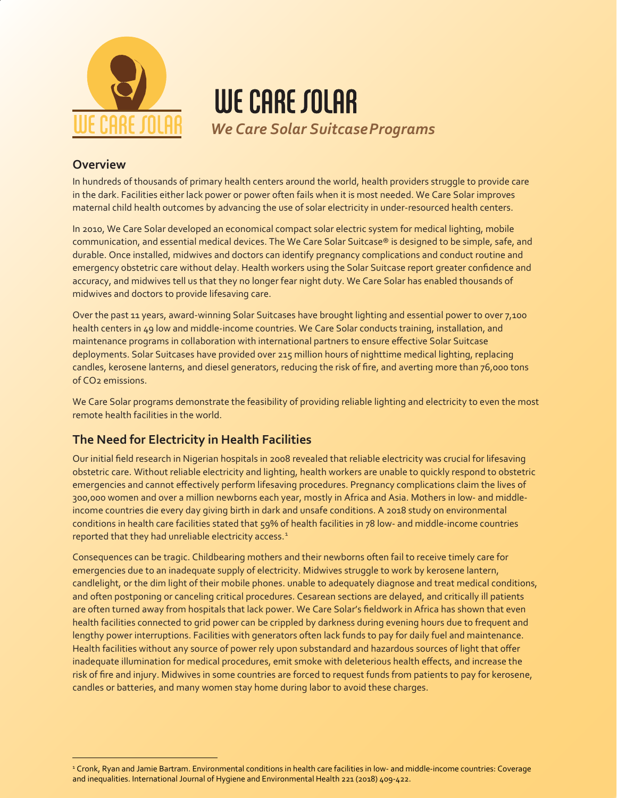

WE CARE SOLAR *We Care Solar SuitcasePrograms*

### **Overview**

In hundreds of thousands of primary health centers around the world, health providers struggle to provide care in the dark. Facilities either lack power or power often fails when it is most needed. We Care Solar improves maternal child health outcomes by advancing the use of solar electricity in under-resourced health centers.

In 2010, We Care Solar developed an economical compact solar electric system for medical lighting, mobile communication, and essential medical devices. The We Care Solar Suitcase® is designed to be simple, safe, and durable. Once installed, midwives and doctors can identify pregnancy complications and conduct routine and emergency obstetric care without delay. Health workers using the Solar Suitcase report greater confidence and accuracy, and midwives tell us that they no longer fear night duty. We Care Solar has enabled thousands of midwives and doctors to provide lifesaving care.

Over the past 11 years, award-winning Solar Suitcases have brought lighting and essential power to over 7,100 health centers in 49 low and middle-income countries. We Care Solar conducts training, installation, and maintenance programs in collaboration with international partners to ensure effective Solar Suitcase deployments. Solar Suitcases have provided over 215 million hours of nighttime medical lighting, replacing candles, kerosene lanterns, and diesel generators, reducing the risk of fire, and averting more than 76,000 tons of CO2 emissions.

We Care Solar programs demonstrate the feasibility of providing reliable lighting and electricity to even the most remote health facilities in the world.

# **The Need for Electricity in Health Facilities**

Our initial field research in Nigerian hospitals in 2008 revealed that reliable electricity was crucial for lifesaving obstetric care. Without reliable electricity and lighting, health workers are unable to quickly respond to obstetric emergencies and cannot effectively perform lifesaving procedures. Pregnancy complications claim the lives of 300,000 women and over a million newborns each year, mostly in Africa and Asia. Mothers in low- and middleincome countries die every day giving birth in dark and unsafe conditions. A 2018 study on environmental conditions in health care facilities stated that 59% of health facilities in 78 low- and middle-income countries reported that they had unreliable electricity access.<sup>[1](#page-0-0)</sup>

Consequences can be tragic. Childbearing mothers and their newborns often fail to receive timely care for emergencies due to an inadequate supply of electricity. Midwives struggle to work by kerosene lantern, candlelight, or the dim light of their mobile phones. unable to adequately diagnose and treat medical conditions, and often postponing or canceling critical procedures. Cesarean sections are delayed, and critically ill patients are often turned away from hospitals that lack power. We Care Solar's fieldwork in Africa has shown that even health facilities connected to grid power can be crippled by darkness during evening hours due to frequent and lengthy power interruptions. Facilities with generators often lack funds to pay for daily fuel and maintenance. Health facilities without any source of power rely upon substandard and hazardous sources of light that offer inadequate illumination for medical procedures, emit smoke with deleterious health effects, and increase the risk of fire and injury. Midwives in some countries are forced to request funds from patients to pay for kerosene, candles or batteries, and many women stay home during labor to avoid these charges.

<span id="page-0-0"></span><sup>1</sup> Cronk, Ryan and Jamie Bartram. Environmental conditions in health care facilities in low- and middle-income countries: Coverage and inequalities. International Journal of Hygiene and Environmental Health 221 (2018) 409-422.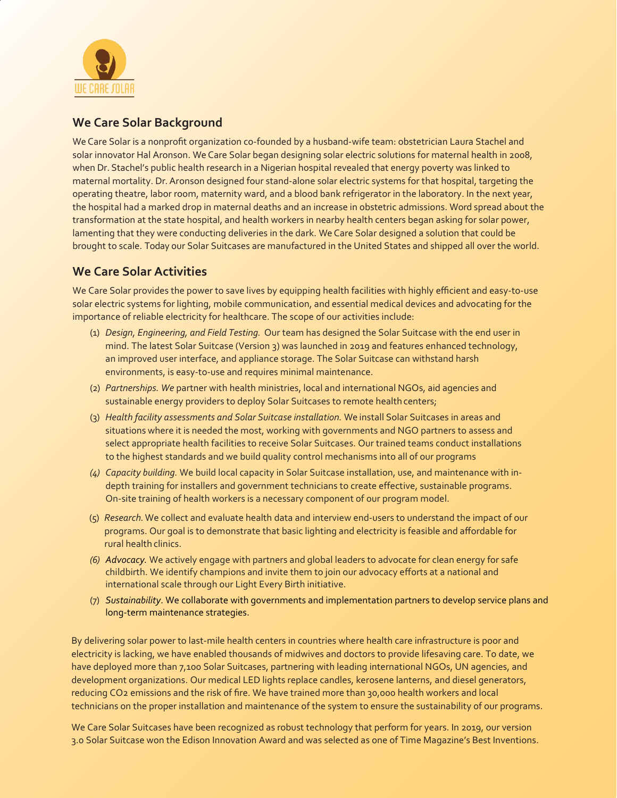

### **We Care Solar Background**

We Care Solar is a nonprofit organization co-founded by a husband-wife team: obstetrician Laura Stachel and solar innovator Hal Aronson. We Care Solar began designing solar electric solutions for maternal health in 2008, when Dr. Stachel's public health research in a Nigerian hospital revealed that energy poverty was linked to maternal mortality. Dr. Aronson designed four stand-alone solar electric systems for that hospital, targeting the operating theatre, labor room, maternity ward, and a blood bank refrigerator in the laboratory. In the next year, the hospital had a marked drop in maternal deaths and an increase in obstetric admissions. Word spread about the transformation at the state hospital, and health workers in nearby health centers began asking for solar power, lamenting that they were conducting deliveries in the dark. We Care Solar designed a solution that could be brought to scale. Today our Solar Suitcases are manufactured in the United States and shipped all over the world.

## **We Care Solar Activities**

We Care Solar provides the power to save lives by equipping health facilities with highly efficient and easy-to-use solar electric systems for lighting, mobile communication, and essential medical devices and advocating for the importance of reliable electricity for healthcare. The scope of our activities include:

- (1) *Design, Engineering, and Field Testing.* Our team has designed the Solar Suitcase with the end user in mind. The latest Solar Suitcase (Version 3) was launched in 2019 and features enhanced technology, an improved user interface, and appliance storage. The Solar Suitcase can withstand harsh environments, is easy-to-use and requires minimal maintenance.
- (2) *Partnerships. We* partner with health ministries, local and international NGOs, aid agencies and sustainable energy providers to deploy Solar Suitcases to remote health centers;
- (3) *Health facility assessments and Solar Suitcase installation.* We install Solar Suitcases in areas and situations where it is needed the most, working with governments and NGO partners to assess and select appropriate health facilities to receive Solar Suitcases. Our trained teams conduct installations to the highest standards and we build quality control mechanisms into all of our programs
- *(4) Capacity building.* We build local capacity in Solar Suitcase installation, use, and maintenance with indepth training for installers and government technicians to create effective, sustainable programs. On-site training of health workers is a necessary component of our program model.
- (5) *Research.*We collect and evaluate health data and interview end-users to understand the impact of our programs. Our goal is to demonstrate that basic lighting and electricity is feasible and affordable for rural health clinics.
- *(6) Advocacy.* We actively engage with partners and global leaders to advocate for clean energy for safe childbirth. We identify champions and invite them to join our advocacy efforts at a national and international scale through our Light Every Birth initiative.
- (7) *Sustainability*. We collaborate with governments and implementation partners to develop service plans and long-term maintenance strategies.

By delivering solar power to last-mile health centers in countries where health care infrastructure is poor and electricity is lacking, we have enabled thousands of midwives and doctors to provide lifesaving care. To date, we have deployed more than 7,100 Solar Suitcases, partnering with leading international NGOs, UN agencies, and development organizations. Our medical LED lights replace candles, kerosene lanterns, and diesel generators, reducing CO2 emissions and the risk of fire. We have trained more than 30,000 health workers and local technicians on the proper installation and maintenance of the system to ensure the sustainability of our programs.

We Care Solar Suitcases have been recognized as robust technology that perform for years. In 2019, our version 3.0 Solar Suitcase won the Edison Innovation Award and was selected as one of Time Magazine's Best Inventions.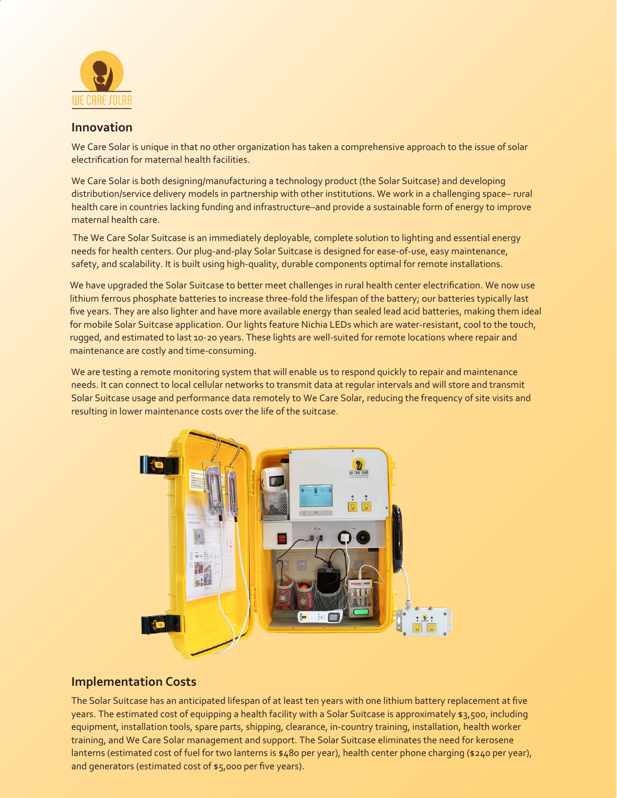

#### **Innovation**

We Care Solar is unique in that no other organization has taken a comprehensive approach to the issue of solar electrification for maternal health facilities.

We Care Solar is both designing/manufacturing a technology product (the Solar Suitcase) and developing distribution/service delivery models in partnership with other institutions. We work in a challenging space– rural health care in countries lacking funding and infrastructure–and provide a sustainable form of energy to improve maternal health care.

The We Care Solar Suitcase is an immediately deployable, complete solution to lighting and essential energy needs for health centers. Our plug-and-play Solar Suitcase is designed for ease-of-use, easy maintenance, safety, and scalability. It is built using high-quality, durable components optimal for remote installations.

We have upgraded the Solar Suitcase to better meet challenges in rural health center electrification. We now use lithium ferrous phosphate batteries to increase three-fold the lifespan of the battery; our batteries typically last five years. They are also lighter and have more available energy than sealed lead acid batteries, making them ideal for mobile Solar Suitcase application. Our lights feature Nichia LEDs which are water-resistant, cool to the touch, rugged, and estimated to last 10-20 years. These lights are well-suited for remote locations where repair and maintenance are costly and time-consuming.

We are testing a remote monitoring system that will enable us to respond quickly to repair and maintenance needs. It can connect to local cellular networks to transmit data at regular intervals and will store and transmit Solar Suitcase usage and performance data remotely to We Care Solar, reducing the frequency of site visits and resulting in lower maintenance costs over the life of the suitcase.



### **Implementation Costs**

The Solar Suitcase has an anticipated lifespan of at least ten years with one lithium battery replacement at five years. The estimated cost of equipping a health facility with a Solar Suitcase is approximately \$3,500, including equipment, installation tools, spare parts, shipping, clearance, in-country training, installation, health worker training, and We Care Solar management and support. The Solar Suitcase eliminates the need for kerosene lanterns (estimated cost of fuel for two lanterns is \$480 per year), health center phone charging (\$240 per year), and generators (estimated cost of \$5,000 per five years).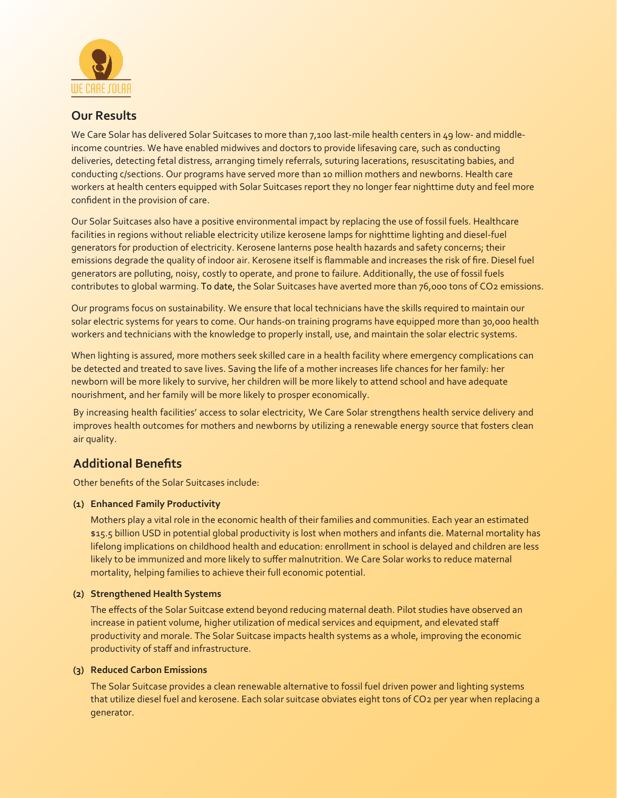

### **Our Results**

We Care Solar has delivered Solar Suitcases to more than 7,100 last-mile health centers in 49 low- and middleincome countries. We have enabled midwives and doctors to provide lifesaving care, such as conducting deliveries, detecting fetal distress, arranging timely referrals, suturing lacerations, resuscitating babies, and conducting c/sections. Our programs have served more than 10 million mothers and newborns. Health care workers at health centers equipped with Solar Suitcases report they no longer fear nighttime duty and feel more confident in the provision of care.

Our Solar Suitcases also have a positive environmental impact by replacing the use of fossil fuels. Healthcare facilities in regions without reliable electricity utilize kerosene lamps for nighttime lighting and diesel-fuel generators for production of electricity. Kerosene lanterns pose health hazards and safety concerns; their emissions degrade the quality of indoor air. Kerosene itself is flammable and increases the risk of fire. Diesel fuel generators are polluting, noisy, costly to operate, and prone to failure. Additionally, the use of fossil fuels contributes to global warming. To date, the Solar Suitcases have averted more than 76,000 tons of CO2 emissions.

Our programs focus on sustainability. We ensure that local technicians have the skills required to maintain our solar electric systems for years to come. Our hands-on training programs have equipped more than 30,000 health workers and technicians with the knowledge to properly install, use, and maintain the solar electric systems.

When lighting is assured, more mothers seek skilled care in a health facility where emergency complications can be detected and treated to save lives. Saving the life of a mother increases life chances for her family: her newborn will be more likely to survive, her children will be more likely to attend school and have adequate nourishment, and her family will be more likely to prosper economically.

By increasing health facilities' access to solar electricity, We Care Solar strengthens health service delivery and improves health outcomes for mothers and newborns by utilizing a renewable energy source that fosters clean air quality.

## **Additional Benefits**

Other benefits of the Solar Suitcases include:

#### **(1) Enhanced Family Productivity**

Mothers play a vital role in the economic health of their families and communities. Each year an estimated \$15.5 billion USD in potential global productivity is lost when mothers and infants die. Maternal mortality has lifelong implications on childhood health and education: enrollment in school is delayed and children are less likely to be immunized and more likely to suffer malnutrition. We Care Solar works to reduce maternal mortality, helping families to achieve their full economic potential.

#### **(2) Strengthened Health Systems**

The effects of the Solar Suitcase extend beyond reducing maternal death. Pilot studies have observed an increase in patient volume, higher utilization of medical services and equipment, and elevated staff productivity and morale. The Solar Suitcase impacts health systems as a whole, improving the economic productivity of staff and infrastructure.

#### **(3) Reduced Carbon Emissions**

The Solar Suitcase provides a clean renewable alternative to fossil fuel driven power and lighting systems that utilize diesel fuel and kerosene. Each solar suitcase obviates eight tons of CO2 per year when replacing a generator.